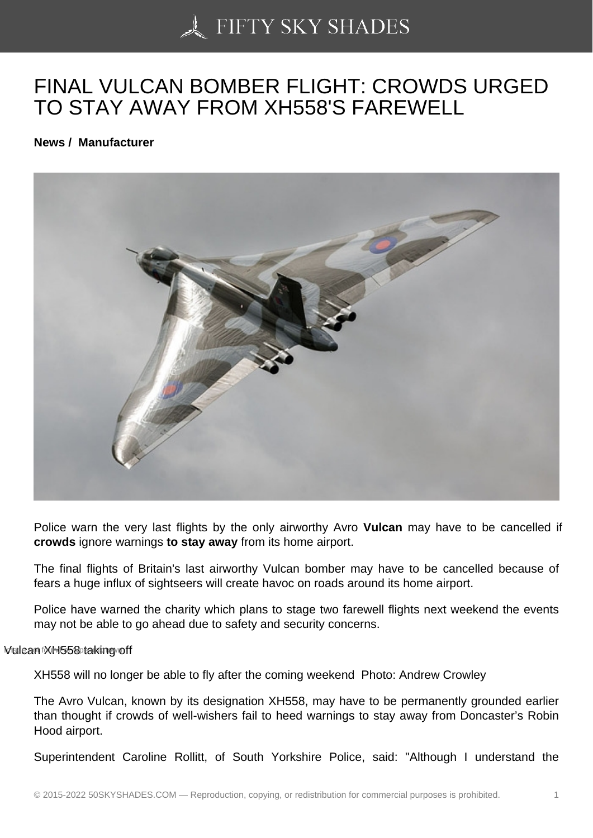## [FINAL VULCAN BOMB](https://50skyshades.com)ER FLIGHT: CROWDS URGED TO STAY AWAY FROM XH558'S FAREWELL

News / Manufacturer

Police warn the very last flights by the only airworthy Avro Vulcan may have to be cancelled if crowds ignore warnings to stay away from its home airport.

The final flights of Britain's last airworthy Vulcan bomber may have to be cancelled because of fears a huge influx of sightseers will create havoc on roads around its home airport.

Police have warned the charity which plans to stage two farewell flights next weekend the events may not be able to go ahead due to safety and security concerns.

## Mulcan MH558 taking off

XH558 will no longer be able to fly after the coming weekend Photo: Andrew Crowley

The Avro Vulcan, known by its designation XH558, may have to be permanently grounded earlier than thought if crowds of well-wishers fail to heed warnings to stay away from Doncaster's Robin Hood airport.

Superintendent Caroline Rollitt, of South Yorkshire Police, said: "Although I understand the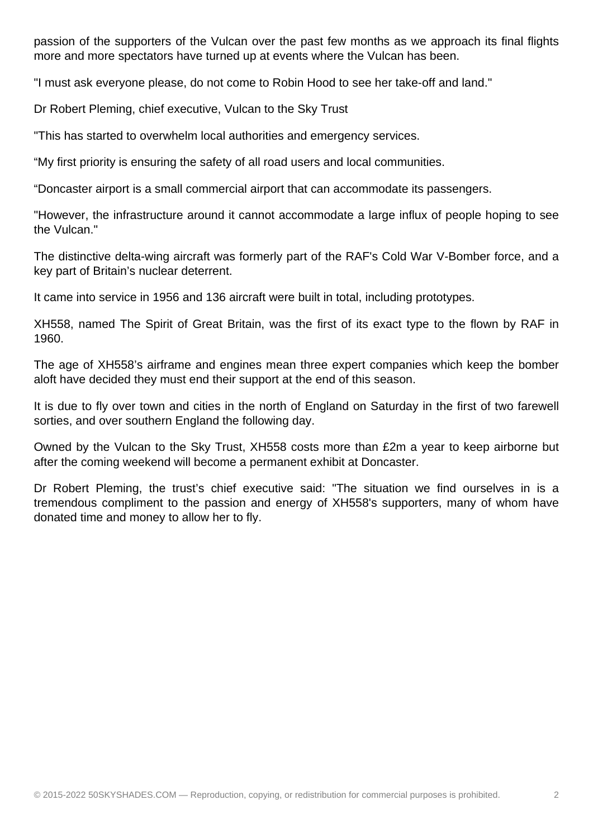passion of the supporters of the Vulcan over the past few months as we approach its final flights more and more spectators have turned up at events where the Vulcan has been.

"I must ask everyone please, do not come to Robin Hood to see her take-off and land."

Dr Robert Pleming, chief executive, Vulcan to the Sky Trust

"This has started to overwhelm local authorities and emergency services.

"My first priority is ensuring the safety of all road users and local communities.

"Doncaster airport is a small commercial airport that can accommodate its passengers.

"However, the infrastructure around it cannot accommodate a large influx of people hoping to see the Vulcan."

The distinctive delta-wing aircraft was formerly part of the RAF's Cold War V-Bomber force, and a key part of Britain's nuclear deterrent.

It came into service in 1956 and 136 aircraft were built in total, including prototypes.

XH558, named The Spirit of Great Britain, was the first of its exact type to the flown by RAF in 1960.

The age of XH558's airframe and engines mean three expert companies which keep the bomber aloft have decided they must end their support at the end of this season.

It is due to fly over town and cities in the north of England on Saturday in the first of two farewell sorties, and over southern England the following day.

Owned by the Vulcan to the Sky Trust, XH558 costs more than £2m a year to keep airborne but after the coming weekend will become a permanent exhibit at Doncaster.

Dr Robert Pleming, the trust's chief executive said: "The situation we find ourselves in is a tremendous compliment to the passion and energy of XH558's supporters, many of whom have donated time and money to allow her to fly.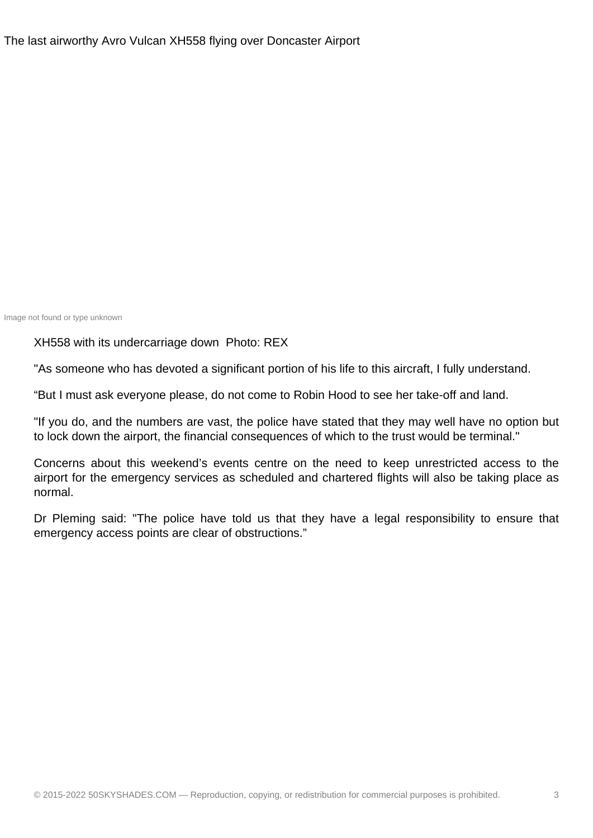Image not found or type unknown

XH558 with its undercarriage down Photo: REX

"As someone who has devoted a significant portion of his life to this aircraft, I fully understand.

"But I must ask everyone please, do not come to Robin Hood to see her take-off and land.

"If you do, and the numbers are vast, the police have stated that they may well have no option but to lock down the airport, the financial consequences of which to the trust would be terminal."

Concerns about this weekend's events centre on the need to keep unrestricted access to the airport for the emergency services as scheduled and chartered flights will also be taking place as normal.

Dr Pleming said: "The police have told us that they have a legal responsibility to ensure that emergency access points are clear of obstructions."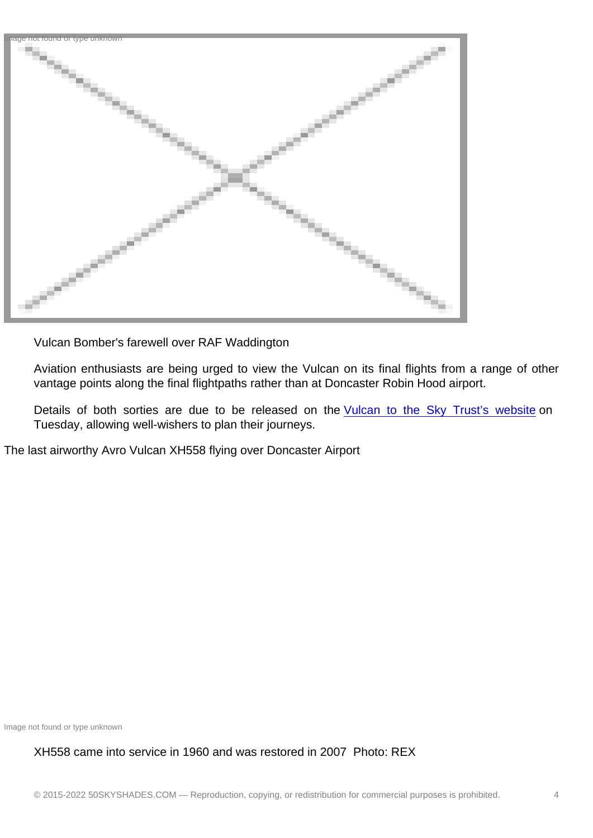Vulcan Bomber's farewell over RAF Waddington

Aviation enthusiasts are being urged to view the Vulcan on its final flights from a range of other vantage points along the final flightpaths rather than at Doncaster Robin Hood airport.

Details of both sorties are due to be released on the Vulcan to the Sky Trust's website on Tuesday, allowing well-wishers to plan their journeys.

The last airworthy Avro Vulcan XH558 flying over Doncaster Air[port](http://www.vulcantothesky.org/)

Image not found or type unknown

## XH558 came into service in 1960 and was restored in 2007 Photo: REX